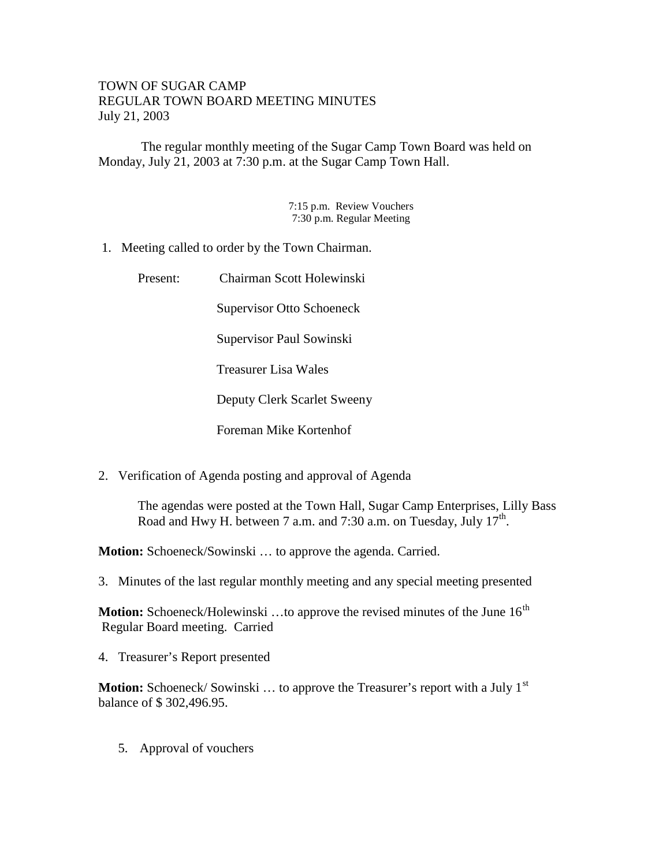## TOWN OF SUGAR CAMP REGULAR TOWN BOARD MEETING MINUTES July 21, 2003

The regular monthly meeting of the Sugar Camp Town Board was held on Monday, July 21, 2003 at 7:30 p.m. at the Sugar Camp Town Hall.

> 7:15 p.m. Review Vouchers 7:30 p.m. Regular Meeting

1. Meeting called to order by the Town Chairman.

| Present: | Chairman Scott Holewinski        |
|----------|----------------------------------|
|          | <b>Supervisor Otto Schoeneck</b> |
|          | Supervisor Paul Sowinski         |
|          | Treasurer Lisa Wales             |
|          | Deputy Clerk Scarlet Sweeny      |
|          | Foreman Mike Kortenhof           |

2. Verification of Agenda posting and approval of Agenda

The agendas were posted at the Town Hall, Sugar Camp Enterprises, Lilly Bass Road and Hwy H. between 7 a.m. and 7:30 a.m. on Tuesday, July 17<sup>th</sup>.

**Motion:** Schoeneck/Sowinski … to approve the agenda. Carried.

3. Minutes of the last regular monthly meeting and any special meeting presented

**Motion:** Schoeneck/Holewinski ...to approve the revised minutes of the June 16<sup>th</sup> Regular Board meeting. Carried

4. Treasurer's Report presented

**Motion:** Schoeneck/Sowinski ... to approve the Treasurer's report with a July 1<sup>st</sup> balance of \$ 302,496.95.

5. Approval of vouchers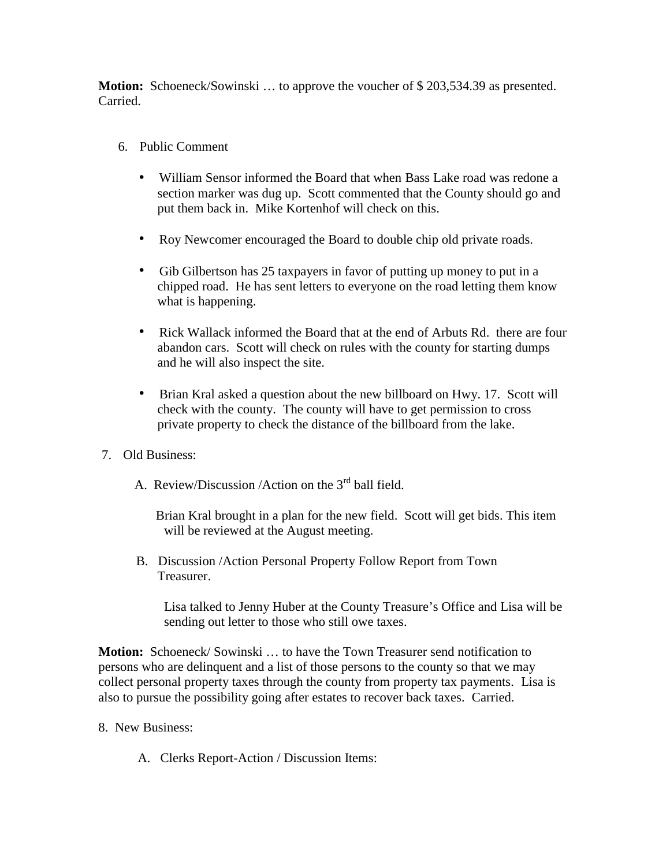**Motion:** Schoeneck/Sowinski … to approve the voucher of \$ 203,534.39 as presented. Carried.

- 6. Public Comment
	- William Sensor informed the Board that when Bass Lake road was redone a section marker was dug up. Scott commented that the County should go and put them back in. Mike Kortenhof will check on this.
	- Roy Newcomer encouraged the Board to double chip old private roads.
	- Gib Gilbertson has 25 taxpayers in favor of putting up money to put in a chipped road. He has sent letters to everyone on the road letting them know what is happening.
	- Rick Wallack informed the Board that at the end of Arbuts Rd. there are four abandon cars. Scott will check on rules with the county for starting dumps and he will also inspect the site.
	- Brian Kral asked a question about the new billboard on Hwy. 17. Scott will check with the county. The county will have to get permission to cross private property to check the distance of the billboard from the lake.
- 7. Old Business:
	- A. Review/Discussion /Action on the 3rd ball field.

Brian Kral brought in a plan for the new field. Scott will get bids. This item will be reviewed at the August meeting.

 B. Discussion /Action Personal Property Follow Report from Town Treasurer.

Lisa talked to Jenny Huber at the County Treasure's Office and Lisa will be sending out letter to those who still owe taxes.

**Motion:** Schoeneck/ Sowinski … to have the Town Treasurer send notification to persons who are delinquent and a list of those persons to the county so that we may collect personal property taxes through the county from property tax payments. Lisa is also to pursue the possibility going after estates to recover back taxes. Carried.

- 8. New Business:
	- A. Clerks Report-Action / Discussion Items: